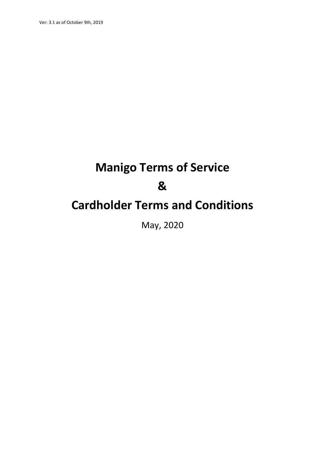# **Manigo Terms of Service & Cardholder Terms and Conditions**

May, 2020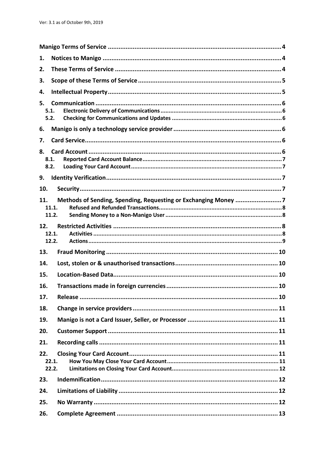| 1.                 |                |                                                                |  |
|--------------------|----------------|----------------------------------------------------------------|--|
| 2.                 |                |                                                                |  |
| 3.                 |                |                                                                |  |
| 4.                 |                |                                                                |  |
| 5.<br>5.1.<br>5.2. |                |                                                                |  |
| 6.                 |                |                                                                |  |
| 7.                 |                |                                                                |  |
| 8.<br>8.1.<br>8.2. |                |                                                                |  |
| 9.                 |                |                                                                |  |
| 10.                |                |                                                                |  |
| 11.                | 11.1.<br>11.2. | Methods of Sending, Spending, Requesting or Exchanging Money 7 |  |
| 12.                | 12.1.<br>12.2. |                                                                |  |
| 13.                |                |                                                                |  |
| 14.                |                |                                                                |  |
| 15.                |                |                                                                |  |
| 16.                |                |                                                                |  |
| 17.                |                |                                                                |  |
| 18.                |                |                                                                |  |
| 19.                |                |                                                                |  |
| 20.                |                |                                                                |  |
| 21.                |                |                                                                |  |
| 22.                | 22.1.<br>22.2. |                                                                |  |
| 23.                |                |                                                                |  |
| 24.                |                |                                                                |  |
| 25.                |                |                                                                |  |
| 26.                |                |                                                                |  |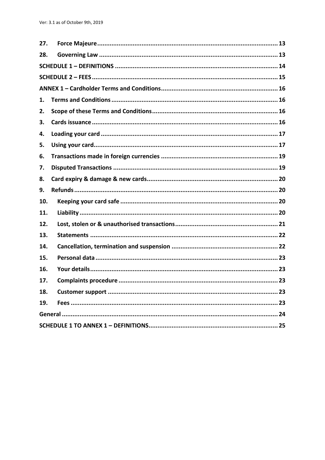| 27. |  |
|-----|--|
| 28. |  |
|     |  |
|     |  |
|     |  |
| 1.  |  |
| 2.  |  |
| 3.  |  |
| 4.  |  |
| 5.  |  |
| 6.  |  |
| 7.  |  |
| 8.  |  |
|     |  |
| 9.  |  |
| 10. |  |
| 11. |  |
| 12. |  |
| 13. |  |
| 14. |  |
| 15. |  |
| 16. |  |
| 17. |  |
| 18. |  |
| 19. |  |
|     |  |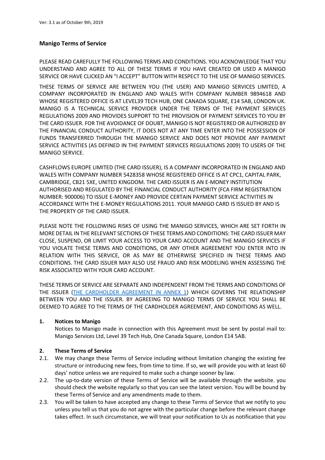# **Manigo Terms of Service**

PLEASE READ CAREFULLY THE FOLLOWING TERMS AND CONDITIONS. YOU ACKNOWLEDGE THAT YOU UNDERSTAND AND AGREE TO ALL OF THESE TERMS IF YOU HAVE CREATED OR USED A MANIGO SERVICE OR HAVE CLICKED AN "I ACCEPT" BUTTON WITH RESPECT TO THE USE OF MANIGO SERVICES.

THESE TERMS OF SERVICE ARE BETWEEN YOU (THE USER) AND MANIGO SERVICES LIMITED, A COMPANY INCORPORATED IN ENGLAND AND WALES WITH COMPANY NUMBER 9894618 AND WHOSE REGISTERED OFFICE IS AT LEVEL39 TECH HUB, ONE CANADA SQUARE, E14 5AB, LONDON UK. MANIGO IS A TECHNICAL SERVICE PROVIDER UNDER THE TERMS OF THE PAYMENT SERVICES REGULATIONS 2009 AND PROVIDES SUPPORT TO THE PROVISION OF PAYMENT SERVICES TO YOU BY THE CARD ISSUER. FOR THE AVOIDANCE OF DOUBT, MANIGO IS NOT REGISTERED OR AUTHORIZED BY THE FINANCIAL CONDUCT AUTHORITY, IT DOES NOT AT ANY TIME ENTER INTO THE POSSESSION OF FUNDS TRANSFERRED THROUGH THE MANIGO SERVICE AND DOES NOT PROVIDE ANY PAYMENT SERVICE ACTIVITIES (AS DEFINED IN THE PAYMENT SERVICES REGULATIONS 2009) TO USERS OF THE MANIGO SERVICE.

CASHFLOWS EUROPE LIMITED (THE CARD ISSUER), IS A COMPANY INCORPORATED IN ENGLAND AND WALES WITH COMPANY NUMBER 5428358 WHOSE REGISTERED OFFICE IS AT CPC1, CAPITAL PARK, CAMBRIDGE, CB21 5XE, UNITED KINGDOM. THE CARD ISSUER IS AN E-MONEY INSTITUTION AUTHORISED AND REGULATED BY THE FINANCIAL CONDUCT AUTHORITY (FCA FIRM REGISTRATION NUMBER: 900006) TO ISSUE E-MONEY AND PROVIDE CERTAIN PAYMENT SERVICE ACTIVITIES IN ACCORDANCE WITH THE E-MONEY REGULATIONS 2011. YOUR MANIGO CARD IS ISSUED BY AND IS THE PROPERTY OF THE CARD ISSUER.

PLEASE NOTE THE FOLLOWING RISKS OF USING THE MANIGO SERVICES, WHICH ARE SET FORTH IN MORE DETAIL IN THE RELEVANT SECTIONS OF THESE TERMS AND CONDITIONS: THE CARD ISSUER MAY CLOSE, SUSPEND, OR LIMIT YOUR ACCESS TO YOUR CARD ACCOUNT AND THE MANIGO SERVICES IF YOU VIOLATE THESE TERMS AND CONDITIONS, OR ANY OTHER AGREEMENT YOU ENTER INTO IN RELATION WITH THIS SERVICE, OR AS MAY BE OTHERWISE SPECIFIED IN THESE TERMS AND CONDITIONS. THE CARD ISSUER MAY ALSO USE FRAUD AND RISK MODELING WHEN ASSESSING THE RISK ASSOCIATED WITH YOUR CARD ACCOUNT.

THESE TERMS OF SERVICE ARE SEPARATE AND INDEPENDENT FROM THE TERMS AND CONDITIONS OF THE ISSUER [\(THE CARDHOLDER AGREEMENT IN ANNEX 1\)](#page-15-0) WHICH GOVERNS THE RELATIONSHIP BETWEEN YOU AND THE ISSUER. BY AGREEING TO MANIGO TERMS OF SERVICE YOU SHALL BE DEEMED TO AGREE TO THE TERMS OF THE CARDHOLDER AGREEMENT, AND CONDITIONS AS WELL.

# **1. Notices to Manigo**

Notices to Manigo made in connection with this Agreement must be sent by postal mail to: Manigo Services Ltd, Level 39 Tech Hub, One Canada Square, London E14 5AB.

# **2. These Terms of Service**

- 2.1. We may change these Terms of Service including without limitation changing the existing fee structure or introducing new fees, from time to time. If so, we will provide you with at least 60 days' notice unless we are required to make such a change sooner by law.
- 2.2. The up-to-date version of these Terms of Service will be available through the website. you should check the website regularly so that you can see the latest version. You will be bound by these Terms of Service and any amendments made to them.
- 2.3. You will be taken to have accepted any change to these Terms of Service that we notify to you unless you tell us that you do not agree with the particular change before the relevant change takes effect. In such circumstance, we will treat your notification to Us as notification that you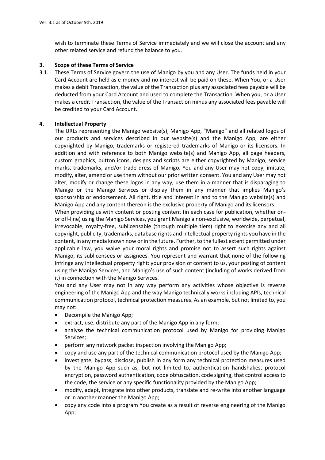wish to terminate these Terms of Service immediately and we will close the account and any other related service and refund the balance to you.

# **3. Scope of these Terms of Service**

3.1. These Terms of Service govern the use of Manigo by you and any User. The funds held in your Card Account are held as e-money and no interest will be paid on these. When You, or a User makes a debit Transaction, the value of the Transaction plus any associated fees payable will be deducted from your Card Account and used to complete the Transaction. When you, or a User makes a credit Transaction, the value of the Transaction minus any associated fees payable will be credited to your Card Account.

# **4. Intellectual Property**

The URLs representing the Manigo website(s), Manigo App, "Manigo" and all related logos of our products and services described in our website(s) and the Manigo App, are either copyrighted by Manigo, trademarks or registered trademarks of Manigo or its licensors. In addition and with reference to both Manigo website(s) and Manigo App, all page headers, custom graphics, button icons, designs and scripts are either copyrighted by Manigo, service marks, trademarks, and/or trade dress of Manigo. You and any User may not copy, imitate, modify, alter, amend or use them without our prior written consent. You and any User may not alter, modify or change these logos in any way, use them in a manner that is disparaging to Manigo or the Manigo Services or display them in any manner that implies Manigo's sponsorship or endorsement. All right, title and interest in and to the Manigo website(s) and Manigo App and any content thereon is the exclusive property of Manigo and its licensors.

When providing us with content or posting content (in each case for publication, whether onor off-line) using the Manigo Services, you grant Manigo a non-exclusive, worldwide, perpetual, irrevocable, royalty-free, sublicensable (through multiple tiers) right to exercise any and all copyright, publicity, trademarks, database rights and intellectual property rights you have in the content, in any media known now or in the future. Further, to the fullest extent permitted under applicable law, you waive your moral rights and promise not to assert such rights against Manigo, its sublicensees or assignees. You represent and warrant that none of the following infringe any intellectual property right: your provision of content to us, your posting of content using the Manigo Services, and Manigo's use of such content (including of works derived from it) in connection with the Manigo Services.

You and any User may not in any way perform any activities whose objective is reverse engineering of the Manigo App and the way Manigo technically works including APIs, technical communication protocol, technical protection measures. As an example, but not limited to, you may not:

- Decompile the Manigo App;
- extract, use, distribute any part of the Manigo App in any form;
- analyse the technical communication protocol used by Manigo for providing Manigo Services;
- perform any network packet inspection involving the Manigo App;
- copy and use any part of the technical communication protocol used by the Manigo App;
- investigate, bypass, disclose, publish in any form any technical protection measures used by the Manigo App such as, but not limited to, authentication handshakes, protocol encryption, password authentication, code obfuscation, code signing, that control access to the code, the service or any specific functionality provided by the Manigo App;
- modify, adapt, integrate into other products, translate and re-write into another language or in another manner the Manigo App;
- copy any code into a program You create as a result of reverse engineering of the Manigo App;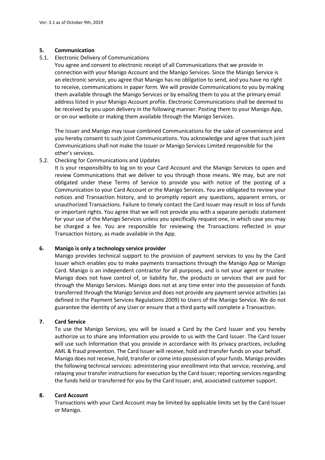# **5. Communication**

5.1. Electronic Delivery of Communications

You agree and consent to electronic receipt of all Communications that we provide in connection with your Manigo Account and the Manigo Services. Since the Manigo Service is an electronic service, you agree that Manigo has no obligation to send, and you have no right to receive, communications in paper form. We will provide Communications to you by making them available through the Manigo Services or by emailing them to you at the primary email address listed in your Manigo Account profile. Electronic Communications shall be deemed to be received by you upon delivery in the following manner: Posting them to your Manigo App, or on our website or making them available through the Manigo Services.

The Issuer and Manigo may issue combined Communications for the sake of convenience and you hereby consent to such joint Communications. You acknowledge and agree that such joint Communications shall not make the Issuer or Manigo Services Limited responsible for the other's services.

# 5.2. Checking for Communications and Updates

It is your responsibility to log on to your Card Account and the Manigo Services to open and review Communications that we deliver to you through those means. We may, but are not obligated under these Terms of Service to provide you with notice of the posting of a Communication to your Card Account or the Manigo Services. You are obligated to review your notices and Transaction history, and to promptly report any questions, apparent errors, or unauthorized Transactions. Failure to timely contact the Card Issuer may result in loss of funds or important rights. You agree that we will not provide you with a separate periodic statement for your use of the Manigo Services unless you specifically request one, in which case you may be charged a fee. You are responsible for reviewing the Transactions reflected in your Transaction history, as made available in the App.

# **6. Manigo is only a technology service provider**

Manigo provides technical support to the provision of payment services to you by the Card Issuer which enables you to make payments transactions through the Manigo App or Manigo Card. Manigo is an independent contractor for all purposes, and is not your agent or trustee. Manigo does not have control of, or liability for, the products or services that are paid for through the Manigo Services. Manigo does not at any time enter into the possession of funds transferred through the Manigo Service and does not provide any payment service activities (as defined in the Payment Services Regulations 2009) to Users of the Manigo Service. We do not guarantee the identity of any User or ensure that a third party will complete a Transaction.

# **7. Card Service**

To use the Manigo Services, you will be issued a Card by the Card Issuer and you hereby authorize us to share any Information you provide to us with the Card Issuer. The Card Issuer will use such Information that you provide in accordance with its privacy practices, including AML & fraud prevention. The Card Issuer will receive, hold and transfer funds on your behalf. Manigo does not receive, hold, transfer or come into possession of your funds. Manigo provides the following technical services: administering your enrollment into that service; receiving, and relaying your transfer instructions for execution by the Card Issuer; reporting services regarding the funds held or transferred for you by the Card Issuer; and, associated customer support.

# **8. Card Account**

Transactions with your Card Account may be limited by applicable limits set by the Card Issuer or Manigo.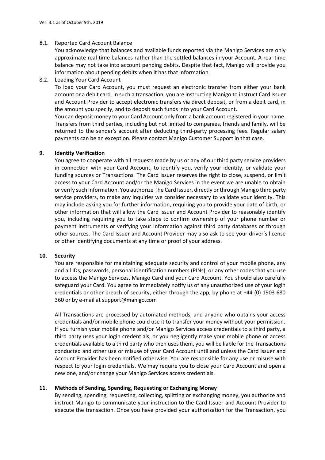# 8.1. Reported Card Account Balance

You acknowledge that balances and available funds reported via the Manigo Services are only approximate real time balances rather than the settled balances in your Account. A real time balance may not take into account pending debits. Despite that fact, Manigo will provide you information about pending debits when it has that information.

# 8.2. Loading Your Card Account

To load your Card Account, you must request an electronic transfer from either your bank account or a debit card. In such a transaction, you are instructing Manigo to instruct Card Issuer and Account Provider to accept electronic transfers via direct deposit, or from a debit card, in the amount you specify, and to deposit such funds into your Card Account.

You can deposit money to your Card Account only from a bank account registered in your name. Transfers from third parties, including but not limited to companies, friends and family, will be returned to the sender's account after deducting third-party processing fees. Regular salary payments can be an exception. Please contact Manigo Customer Support in that case.

# **9. Identity Verification**

You agree to cooperate with all requests made by us or any of our third party service providers in connection with your Card Account, to identify you, verify your identity, or validate your funding sources or Transactions. The Card Issuer reserves the right to close, suspend, or limit access to your Card Account and/or the Manigo Services in the event we are unable to obtain or verify such Information. You authorize The Card Issuer, directly or through Manigo third party service providers, to make any inquiries we consider necessary to validate your identity. This may include asking you for further information, requiring you to provide your date of birth, or other information that will allow the Card Issuer and Account Provider to reasonably identify you, including requiring you to take steps to confirm ownership of your phone number or payment instruments or verifying your Information against third party databases or through other sources. The Card Issuer and Account Provider may also ask to see your driver's license or other identifying documents at any time or proof of your address.

# **10. Security**

You are responsible for maintaining adequate security and control of your mobile phone, any and all IDs, passwords, personal identification numbers (PINs), or any other codes that you use to access the Manigo Services, Manigo Card and your Card Account. You should also carefully safeguard your Card. You agree to immediately notify us of any unauthorized use of your login credentials or other breach of security, either through the app, by phone at +44 (0) 1903 680 360 or by e-mail at support@manigo.com

All Transactions are processed by automated methods, and anyone who obtains your access credentials and/or mobile phone could use it to transfer your money without your permission. If you furnish your mobile phone and/or Manigo Services access credentials to a third party, a third party uses your login credentials, or you negligently make your mobile phone or access credentials available to a third party who then uses them, you will be liable for the Transactions conducted and other use or misuse of your Card Account until and unless the Card Issuer and Account Provider has been notified otherwise. You are responsible for any use or misuse with respect to your login credentials. We may require you to close your Card Account and open a new one, and/or change your Manigo Services access credentials.

# **11. Methods of Sending, Spending, Requesting or Exchanging Money**

By sending, spending, requesting, collecting, splitting or exchanging money, you authorize and instruct Manigo to communicate your instruction to the Card Issuer and Account Provider to execute the transaction. Once you have provided your authorization for the Transaction, you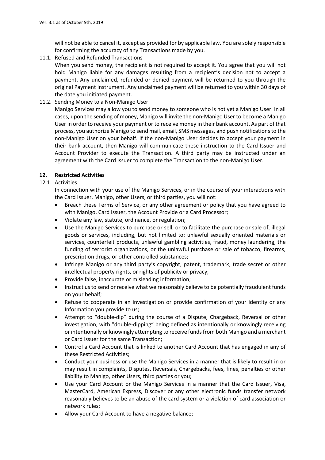will not be able to cancel it, except as provided for by applicable law. You are solely responsible for confirming the accuracy of any Transactions made by you.

11.1. Refused and Refunded Transactions

When you send money, the recipient is not required to accept it. You agree that you will not hold Manigo liable for any damages resulting from a recipient's decision not to accept a payment. Any unclaimed, refunded or denied payment will be returned to you through the original Payment Instrument. Any unclaimed payment will be returned to you within 30 days of the date you initiated payment.

11.2. Sending Money to a Non-Manigo User

Manigo Services may allow you to send money to someone who is not yet a Manigo User. In all cases, upon the sending of money, Manigo will invite the non-Manigo User to become a Manigo User in order to receive your payment or to receive money in their bank account. As part of that process, you authorize Manigo to send mail, email, SMS messages, and push notifications to the non-Manigo User on your behalf. If the non-Manigo User decides to accept your payment in their bank account, then Manigo will communicate these instruction to the Card Issuer and Account Provider to execute the Transaction. A third party may be instructed under an agreement with the Card Issuer to complete the Transaction to the non-Manigo User.

# **12. Restricted Activities**

# 12.1. Activities

In connection with your use of the Manigo Services, or in the course of your interactions with the Card Issuer, Manigo, other Users, or third parties, you will not:

- Breach these Terms of Service, or any other agreement or policy that you have agreed to with Manigo, Card Issuer, the Account Provide or a Card Processor;
- Violate any law, statute, ordinance, or regulation;
- Use the Manigo Services to purchase or sell, or to facilitate the purchase or sale of, illegal goods or services, including, but not limited to: unlawful sexually oriented materials or services, counterfeit products, unlawful gambling activities, fraud, money laundering, the funding of terrorist organizations, or the unlawful purchase or sale of tobacco, firearms, prescription drugs, or other controlled substances;
- Infringe Manigo or any third party's copyright, patent, trademark, trade secret or other intellectual property rights, or rights of publicity or privacy;
- Provide false, inaccurate or misleading information;
- Instruct us to send or receive what we reasonably believe to be potentially fraudulent funds on your behalf;
- Refuse to cooperate in an investigation or provide confirmation of your identity or any Information you provide to us;
- Attempt to "double-dip" during the course of a Dispute, Chargeback, Reversal or other investigation, with "double-dipping" being defined as intentionally or knowingly receiving or intentionally or knowingly attempting to receive funds from both Manigo and a merchant or Card Issuer for the same Transaction;
- Control a Card Account that is linked to another Card Account that has engaged in any of these Restricted Activities;
- Conduct your business or use the Manigo Services in a manner that is likely to result in or may result in complaints, Disputes, Reversals, Chargebacks, fees, fines, penalties or other liability to Manigo, other Users, third parties or you;
- Use your Card Account or the Manigo Services in a manner that the Card Issuer, Visa, MasterCard, American Express, Discover or any other electronic funds transfer network reasonably believes to be an abuse of the card system or a violation of card association or network rules;
- Allow your Card Account to have a negative balance;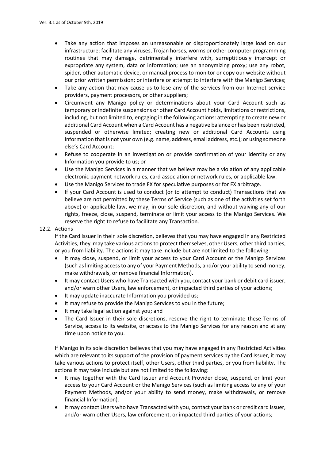- Take any action that imposes an unreasonable or disproportionately large load on our infrastructure; facilitate any viruses, Trojan horses, worms or other computer programming routines that may damage, detrimentally interfere with, surreptitiously intercept or expropriate any system, data or information; use an anonymizing proxy; use any robot, spider, other automatic device, or manual process to monitor or copy our website without our prior written permission; or interfere or attempt to interfere with the Manigo Services;
- Take any action that may cause us to lose any of the services from our Internet service providers, payment processors, or other suppliers;
- Circumvent any Manigo policy or determinations about your Card Account such as temporary or indefinite suspensions or other Card Account holds, limitations or restrictions, including, but not limited to, engaging in the following actions: attempting to create new or additional Card Account when a Card Account has a negative balance or has been restricted, suspended or otherwise limited; creating new or additional Card Accounts using Information that is not your own (e.g. name, address, email address, etc.); or using someone else's Card Account;
- Refuse to cooperate in an investigation or provide confirmation of your identity or any Information you provide to us; or
- Use the Manigo Services in a manner that we believe may be a violation of any applicable electronic payment network rules, card association or network rules, or applicable law.
- Use the Manigo Services to trade FX for speculative purposes or for FX arbitrage.
- If your Card Account is used to conduct (or to attempt to conduct) Transactions that we believe are not permitted by these Terms of Service (such as one of the activities set forth above) or applicable law, we may, in our sole discretion, and without waiving any of our rights, freeze, close, suspend, terminate or limit your access to the Manigo Services. We reserve the right to refuse to facilitate any Transaction.

# 12.2. Actions

If the Card Issuer in their sole discretion, believes that you may have engaged in any Restricted Activities, they may take various actions to protect themselves, other Users, other third parties, or you from liability. The actions it may take include but are not limited to the following:

- It may close, suspend, or limit your access to your Card Account or the Manigo Services (such as limiting access to any of your Payment Methods, and/or your ability to send money, make withdrawals, or remove financial Information).
- It may contact Users who have Transacted with you, contact your bank or debit card issuer, and/or warn other Users, law enforcement, or impacted third parties of your actions;
- It may update inaccurate Information you provided us;
- It may refuse to provide the Manigo Services to you in the future;
- It may take legal action against you; and
- The Card Issuer in their sole discretions, reserve the right to terminate these Terms of Service, access to its website, or access to the Manigo Services for any reason and at any time upon notice to you.

If Manigo in its sole discretion believes that you may have engaged in any Restricted Activities which are relevant to its support of the provision of payment services by the Card Issuer, it may take various actions to protect itself, other Users, other third parties, or you from liability. The actions it may take include but are not limited to the following:

- It may together with the Card Issuer and Account Provider close, suspend, or limit your access to your Card Account or the Manigo Services (such as limiting access to any of your Payment Methods, and/or your ability to send money, make withdrawals, or remove financial Information).
- It may contact Users who have Transacted with you, contact your bank or credit card issuer, and/or warn other Users, law enforcement, or impacted third parties of your actions;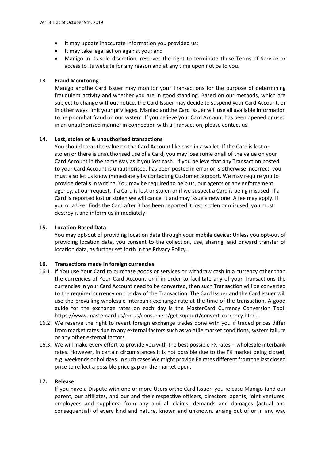- It may update inaccurate Information you provided us;
- It may take legal action against you; and
- Manigo in its sole discretion, reserves the right to terminate these Terms of Service or access to its website for any reason and at any time upon notice to you.

# **13. Fraud Monitoring**

Manigo andthe Card Issuer may monitor your Transactions for the purpose of determining fraudulent activity and whether you are in good standing. Based on our methods, which are subject to change without notice, the Card Issuer may decide to suspend your Card Account, or in other ways limit your privileges. Manigo andthe Card Issuer will use all available information to help combat fraud on our system. If you believe your Card Account has been opened or used in an unauthorized manner in connection with a Transaction, please contact us.

# **14. Lost, stolen or & unauthorised transactions**

You should treat the value on the Card Account like cash in a wallet. If the Card is lost or stolen or there is unauthorised use of a Card, you may lose some or all of the value on your Card Account in the same way as if you lost cash. If you believe that any Transaction posted to your Card Account is unauthorised, has been posted in error or is otherwise incorrect, you must also let us know immediately by contacting Customer Support. We may require you to provide details in writing. You may be required to help us, our agents or any enforcement agency, at our request, if a Card is lost or stolen or if we suspect a Card is being misused. If a Card is reported lost or stolen we will cancel it and may issue a new one. A fee may apply. If you or a User finds the Card after it has been reported it lost, stolen or misused, you must destroy it and inform us immediately.

# **15. Location-Based Data**

You may opt-out of providing location data through your mobile device; Unless you opt-out of providing location data, you consent to the collection, use, sharing, and onward transfer of location data, as further set forth in the Privacy Policy.

# **16. Transactions made in foreign currencies**

- 16.1. If You use Your Card to purchase goods or services or withdraw cash in a currency other than the currencies of Your Card Account or if in order to facilitate any of your Transactions the currencies in your Card Account need to be converted, then such Transaction will be converted to the required currency on the day of the Transaction. The Card Issuer and the Card Issuer will use the prevailing wholesale interbank exchange rate at the time of the transaction. A good guide for the exchange rates on each day is the MasterCard Currency Conversion Tool: https://www.mastercard.us/en-us/consumers/get-support/convert-currency.html..
- 16.2. We reserve the right to revert foreign exchange trades done with you if traded prices differ from market rates due to any external factors such as volatile market conditions, system failure or any other external factors.
- 16.3. We will make every effort to provide you with the best possible FX rates wholesale interbank rates. However, in certain circumstances it is not possible due to the FX market being closed, e.g. weekends or holidays. In such cases We might provide FX rates different from the last closed price to reflect a possible price gap on the market open.

# **17. Release**

If you have a Dispute with one or more Users orthe Card Issuer, you release Manigo (and our parent, our affiliates, and our and their respective officers, directors, agents, joint ventures, employees and suppliers) from any and all claims, demands and damages (actual and consequential) of every kind and nature, known and unknown, arising out of or in any way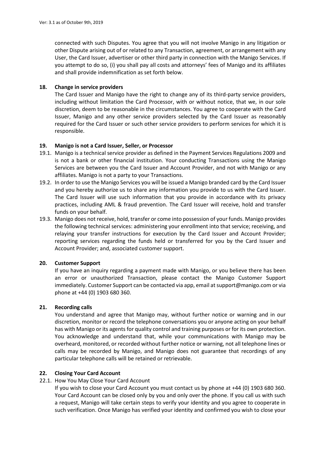connected with such Disputes. You agree that you will not involve Manigo in any litigation or other Dispute arising out of or related to any Transaction, agreement, or arrangement with any User, the Card Issuer, advertiser or other third party in connection with the Manigo Services. If you attempt to do so, (i) you shall pay all costs and attorneys' fees of Manigo and its affiliates and shall provide indemnification as set forth below.

# **18. Change in service providers**

The Card Issuer and Manigo have the right to change any of its third-party service providers, including without limitation the Card Processor, with or without notice, that we, in our sole discretion, deem to be reasonable in the circumstances. You agree to cooperate with the Card Issuer, Manigo and any other service providers selected by the Card Issuer as reasonably required for the Card Issuer or such other service providers to perform services for which it is responsible.

# **19. Manigo is not a Card Issuer, Seller, or Processor**

- 19.1. Manigo is a technical service provider as defined in the Payment Services Regulations 2009 and is not a bank or other financial institution. Your conducting Transactions using the Manigo Services are between you the Card Issuer and Account Provider, and not with Manigo or any affiliates. Manigo is not a party to your Transactions.
- 19.2. In order to use the Manigo Services you will be issued a Manigo branded card by the Card Issuer and you hereby authorize us to share any information you provide to us with the Card Issuer. The Card Issuer will use such information that you provide in accordance with its privacy practices, including AML & fraud prevention. The Card Issuer will receive, hold and transfer funds on your behalf.
- 19.3. Manigo does not receive, hold, transfer or come into possession of your funds. Manigo provides the following technical services: administering your enrollment into that service; receiving, and relaying your transfer instructions for execution by the Card Issuer and Account Provider; reporting services regarding the funds held or transferred for you by the Card Issuer and Account Provider; and, associated customer support.

# **20. Customer Support**

If you have an inquiry regarding a payment made with Manigo, or you believe there has been an error or unauthorized Transaction, please contact the Manigo Customer Support immediately. Customer Support can be contacted via app, email at support@manigo.com or via phone at +44 (0) 1903 680 360.

# **21. Recording calls**

You understand and agree that Manigo may, without further notice or warning and in our discretion, monitor or record the telephone conversations you or anyone acting on your behalf has with Manigo or its agents for quality control and training purposes or for its own protection. You acknowledge and understand that, while your communications with Manigo may be overheard, monitored, or recorded without further notice or warning, not all telephone lines or calls may be recorded by Manigo, and Manigo does not guarantee that recordings of any particular telephone calls will be retained or retrievable.

# **22. Closing Your Card Account**

# 22.1. How You May Close Your Card Account

If you wish to close your Card Account you must contact us by phone at +44 (0) 1903 680 360. Your Card Account can be closed only by you and only over the phone. If you call us with such a request, Manigo will take certain steps to verify your identity and you agree to cooperate in such verification. Once Manigo has verified your identity and confirmed you wish to close your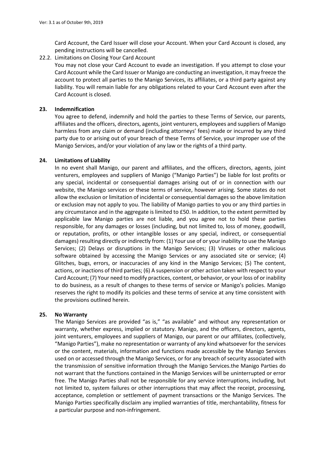Card Account, the Card Issuer will close your Account. When your Card Account is closed, any pending instructions will be cancelled.

22.2. Limitations on Closing Your Card Account

You may not close your Card Account to evade an investigation. If you attempt to close your Card Account while the Card Issuer or Manigo are conducting an investigation, it may freeze the account to protect all parties to the Manigo Services, its affiliates, or a third party against any liability. You will remain liable for any obligations related to your Card Account even after the Card Account is closed.

#### **23. Indemnification**

You agree to defend, indemnify and hold the parties to these Terms of Service, our parents, affiliates and the officers, directors, agents, joint venturers, employees and suppliers of Manigo harmless from any claim or demand (including attorneys' fees) made or incurred by any third party due to or arising out of your breach of these Terms of Service, your improper use of the Manigo Services, and/or your violation of any law or the rights of a third party.

# **24. Limitations of Liability**

In no event shall Manigo, our parent and affiliates, and the officers, directors, agents, joint venturers, employees and suppliers of Manigo ("Manigo Parties") be liable for lost profits or any special, incidental or consequential damages arising out of or in connection with our website, the Manigo services or these terms of service, however arising. Some states do not allow the exclusion or limitation of incidental or consequential damages so the above limitation or exclusion may not apply to you. The liability of Manigo parties to you or any third parties in any circumstance and in the aggregate is limited to £50. In addition, to the extent permitted by applicable law Manigo parties are not liable, and you agree not to hold these parties responsible, for any damages or losses (including, but not limited to, loss of money, goodwill, or reputation, profits, or other intangible losses or any special, indirect, or consequential damages) resulting directly or indirectly from: (1) Your use of or your inability to use the Manigo Services; (2) Delays or disruptions in the Manigo Services; (3) Viruses or other malicious software obtained by accessing the Manigo Services or any associated site or service; (4) Glitches, bugs, errors, or inaccuracies of any kind in the Manigo Services; (5) The content, actions, or inactions of third parties; (6) A suspension or other action taken with respect to your Card Account; (7) Your need to modify practices, content, or behavior, or your loss of or inability to do business, as a result of changes to these terms of service or Manigo's policies. Manigo reserves the right to modify its policies and these terms of service at any time consistent with the provisions outlined herein.

# **25. No Warranty**

The Manigo Services are provided "as is," "as available" and without any representation or warranty, whether express, implied or statutory. Manigo, and the officers, directors, agents, joint venturers, employees and suppliers of Manigo, our parent or our affiliates, (collectively, "Manigo Parties"), make no representation or warranty of any kind whatsoever for the services or the content, materials, information and functions made accessible by the Manigo Services used on or accessed through the Manigo Services, or for any breach of security associated with the transmission of sensitive information through the Manigo Services.the Manigo Parties do not warrant that the functions contained in the Manigo Services will be uninterrupted or error free. The Manigo Parties shall not be responsible for any service interruptions, including, but not limited to, system failures or other interruptions that may affect the receipt, processing, acceptance, completion or settlement of payment transactions or the Manigo Services. The Manigo Parties specifically disclaim any implied warranties of title, merchantability, fitness for a particular purpose and non-infringement.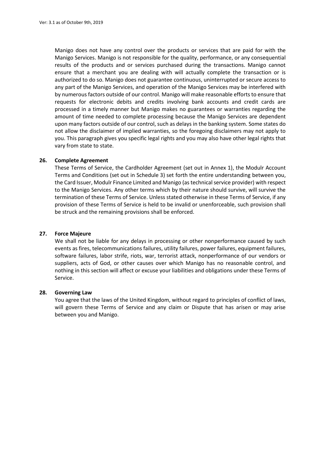Manigo does not have any control over the products or services that are paid for with the Manigo Services. Manigo is not responsible for the quality, performance, or any consequential results of the products and or services purchased during the transactions. Manigo cannot ensure that a merchant you are dealing with will actually complete the transaction or is authorized to do so. Manigo does not guarantee continuous, uninterrupted or secure access to any part of the Manigo Services, and operation of the Manigo Services may be interfered with by numerous factors outside of our control. Manigo will make reasonable efforts to ensure that requests for electronic debits and credits involving bank accounts and credit cards are processed in a timely manner but Manigo makes no guarantees or warranties regarding the amount of time needed to complete processing because the Manigo Services are dependent upon many factors outside of our control, such as delays in the banking system. Some states do not allow the disclaimer of implied warranties, so the foregoing disclaimers may not apply to you. This paragraph gives you specific legal rights and you may also have other legal rights that vary from state to state.

#### **26. Complete Agreement**

These Terms of Service, the Cardholder Agreement (set out in Annex 1), the Modulr Account Terms and Conditions (set out in Schedule 3) set forth the entire understanding between you, the Card Issuer, Modulr Finance Limited and Manigo (as technical service provider) with respect to the Manigo Services. Any other terms which by their nature should survive, will survive the termination of these Terms of Service. Unless stated otherwise in these Terms of Service, if any provision of these Terms of Service is held to be invalid or unenforceable, such provision shall be struck and the remaining provisions shall be enforced.

#### **27. Force Majeure**

We shall not be liable for any delays in processing or other nonperformance caused by such events as fires, telecommunications failures, utility failures, power failures, equipment failures, software failures, labor strife, riots, war, terrorist attack, nonperformance of our vendors or suppliers, acts of God, or other causes over which Manigo has no reasonable control, and nothing in this section will affect or excuse your liabilities and obligations under these Terms of Service.

#### **28. Governing Law**

You agree that the laws of the United Kingdom, without regard to principles of conflict of laws, will govern these Terms of Service and any claim or Dispute that has arisen or may arise between you and Manigo.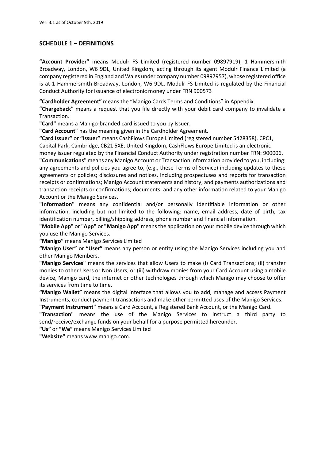# **SCHEDULE 1 – DEFINITIONS**

**"Account Provider"** means Modulr FS Limited (registered number 09897919), 1 Hammersmith Broadway, London, W6 9DL, United Kingdom, acting through its agent Modulr Finance Limited (a company registered in England and Wales under company number 09897957), whose registered office is at 1 Hammersmith Broadway, London, W6 9DL. Modulr FS Limited is regulated by the Financial Conduct Authority for issuance of electronic money under FRN 900573

**"Cardholder Agreement"** means the "Manigo Cards Terms and Conditions" in Appendix

**"Chargeback"** means a request that you file directly with your debit card company to invalidate a Transaction.

**"Card"** means a Manigo-branded card issued to you by Issuer.

**"Card Account"** has the meaning given in the Cardholder Agreement.

**"Card Issuer"** or **"Issuer"** means CashFlows Europe Limited (registered number 5428358), CPC1,

Capital Park, Cambridge, CB21 5XE, United Kingdom, CashFlows Europe Limited is an electronic

money issuer regulated by the Financial Conduct Authority under registration number FRN: 900006.

**"Communications"** means any Manigo Account or Transaction information provided to you, including: any agreements and policies you agree to, (e.g., these Terms of Service) including updates to these agreements or policies; disclosures and notices, including prospectuses and reports for transaction receipts or confirmations; Manigo Account statements and history; and payments authorizations and transaction receipts or confirmations; documents; and any other information related to your Manigo Account or the Manigo Services.

**"Information"** means any confidential and/or personally identifiable information or other information, including but not limited to the following: name, email address, date of birth, tax identification number, billing/shipping address, phone number and financial information.

**"Mobile App"** or **"App"** or **"Manigo App"** means the application on your mobile device through which you use the Manigo Services.

**"Manigo"** means Manigo Services Limited

**"Manigo User"** or **"User"** means any person or entity using the Manigo Services including you and other Manigo Members.

**"Manigo Services"** means the services that allow Users to make (i) Card Transactions; (ii) transfer monies to other Users or Non Users; or (iii) withdraw monies from your Card Account using a mobile device, Manigo card, the internet or other technologies through which Manigo may choose to offer its services from time to time.

**"Manigo Wallet"** means the digital interface that allows you to add, manage and access Payment Instruments, conduct payment transactions and make other permitted uses of the Manigo Services.

**"Payment Instrument"** means a Card Account, a Registered Bank Account, or the Manigo Card.

**"Transaction"** means the use of the Manigo Services to instruct a third party to send/receive/exchange funds on your behalf for a purpose permitted hereunder.

**"Us"** or **"We"** means Manigo Services Limited

**"Website"** means www.manigo.com.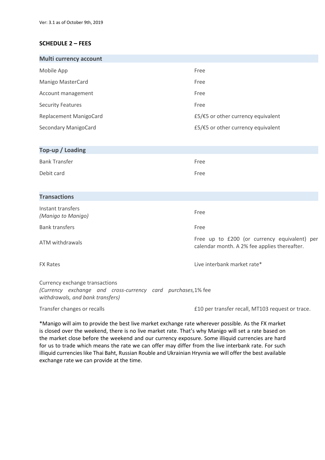# **SCHEDULE 2 – FEES**

| <b>Multi currency account</b> |                                    |  |  |  |
|-------------------------------|------------------------------------|--|--|--|
| Mobile App                    | Free                               |  |  |  |
| Manigo MasterCard             | Free                               |  |  |  |
| Account management            | Free                               |  |  |  |
| <b>Security Features</b>      | Free                               |  |  |  |
| Replacement ManigoCard        | £5/€5 or other currency equivalent |  |  |  |
| Secondary ManigoCard          | £5/€5 or other currency equivalent |  |  |  |

| Top-up / Loading     |      |  |  |  |
|----------------------|------|--|--|--|
| <b>Bank Transfer</b> | Free |  |  |  |
| Debit card           | Free |  |  |  |

# **Transactions**

| Instant transfers<br>(Manigo to Manigo) | Free                                                                                         |
|-----------------------------------------|----------------------------------------------------------------------------------------------|
| <b>Bank transfers</b>                   | Free                                                                                         |
| ATM withdrawals                         | Free up to £200 (or currency equivalent) per<br>calendar month. A 2% fee applies thereafter. |

FX Rates **Live interbank market rate\*** 

Currency exchange transactions (Currency exchange and cross-currency card purchases,1% fee *withdrawals, and bank transfers)*

Transfer changes or recalls **E10** per transfer recall, MT103 request or trace.

\*Manigo will aim to provide the best live market exchange rate wherever possible. As the FX market is closed over the weekend, there is no live market rate. That's why Manigo will set a rate based on the market close before the weekend and our currency exposure. Some illiquid currencies are hard for us to trade which means the rate we can offer may differ from the live interbank rate. For such illiquid currencies like Thai Baht, Russian Rouble and Ukrainian Hryvnia we will offer the best available exchange rate we can provide at the time.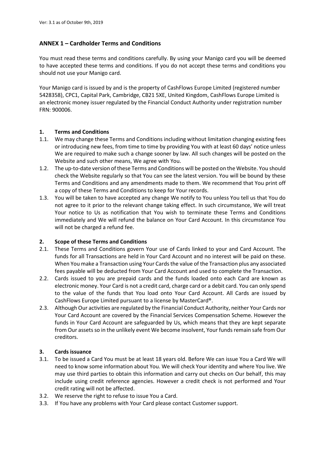# <span id="page-15-0"></span>**ANNEX 1 – Cardholder Terms and Conditions**

You must read these terms and conditions carefully. By using your Manigo card you will be deemed to have accepted these terms and conditions. If you do not accept these terms and conditions you should not use your Manigo card.

Your Manigo card is issued by and is the property of CashFlows Europe Limited (registered number 5428358), CPC1, Capital Park, Cambridge, CB21 5XE, United Kingdom, CashFlows Europe Limited is an electronic money issuer regulated by the Financial Conduct Authority under registration number FRN: 900006.

# **1. Terms and Conditions**

- <span id="page-15-1"></span>1.1. We may change these Terms and Conditions including without limitation changing existing fees or introducing new fees, from time to time by providing You with at least 60 days' notice unless We are required to make such a change sooner by law. All such changes will be posted on the Website and such other means, We agree with You.
- 1.2. The up-to-date version of these Terms and Conditions will be posted on the Website. You should check the Website regularly so that You can see the latest version. You will be bound by these Terms and Conditions and any amendments made to them. We recommend that You print off a copy of these Terms and Conditions to keep for Your records.
- 1.3. You will be taken to have accepted any change We notify to You unless You tell us that You do not agree to it prior to the relevant change taking effect. In such circumstance, We will treat Your notice to Us as notification that You wish to terminate these Terms and Conditions immediately and We will refund the balance on Your Card Account. In this circumstance You will not be charged a refund fee.

# **2. Scope of these Terms and Conditions**

- 2.1. These Terms and Conditions govern Your use of Cards linked to your and Card Account. The funds for all Transactions are held in Your Card Account and no interest will be paid on these. When You make a Transaction using Your Cardsthe value of the Transaction plus any associated fees payable will be deducted from Your Card Account and used to complete the Transaction.
- 2.2. Cards issued to you are prepaid cards and the funds loaded onto each Card are known as electronic money. Your Card is not a credit card, charge card or a debit card. You can only spend to the value of the funds that You load onto Your Card Account. All Cards are issued by CashFlows Europe Limited pursuant to a license by MasterCard®.
- 2.3. Although Our activities are regulated by the Financial Conduct Authority, neither Your Cards nor Your Card Account are covered by the Financial Services Compensation Scheme. However the funds in Your Card Account are safeguarded by Us, which means that they are kept separate from Our assets so in the unlikely event We become insolvent, Your funds remain safe from Our creditors.

# **3. Cards issuance**

- 3.1. To be issued a Card You must be at least 18 years old. Before We can issue You a Card We will need to know some information about You. We will check Your identity and where You live. We may use third parties to obtain this information and carry out checks on Our behalf, this may include using credit reference agencies. However a credit check is not performed and Your credit rating will not be affected.
- 3.2. We reserve the right to refuse to issue You a Card.
- 3.3. If You have any problems with Your Card please contact Customer support.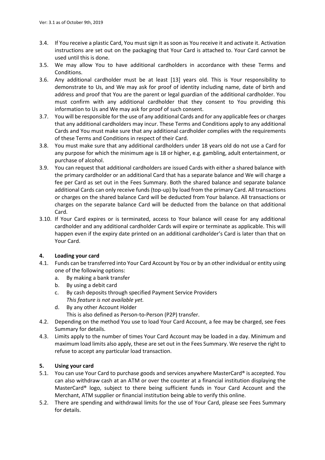- 3.4. If You receive a plastic Card, You must sign it as soon as You receive it and activate it. Activation instructions are set out on the packaging that Your Card is attached to. Your Card cannot be used until this is done.
- 3.5. We may allow You to have additional cardholders in accordance with these Terms and Conditions.
- 3.6. Any additional cardholder must be at least [13] years old. This is Your responsibility to demonstrate to Us, and We may ask for proof of identity including name, date of birth and address and proof that You are the parent or legal guardian of the additional cardholder. You must confirm with any additional cardholder that they consent to You providing this information to Us and We may ask for proof of such consent.
- 3.7. You will be responsible for the use of any additional Cards and for any applicable fees or charges that any additional cardholders may incur. These Terms and Conditions apply to any additional Cards and You must make sure that any additional cardholder complies with the requirements of these Terms and Conditions in respect of their Card.
- 3.8. You must make sure that any additional cardholders under 18 years old do not use a Card for any purpose for which the minimum age is 18 or higher, e.g. gambling, adult entertainment, or purchase of alcohol.
- 3.9. You can request that additional cardholders are issued Cards with either a shared balance with the primary cardholder or an additional Card that has a separate balance and We will charge a fee per Card as set out in the Fees Summary. Both the shared balance and separate balance additional Cards can only receive funds (top-up) by load from the primary Card. All transactions or charges on the shared balance Card will be deducted from Your balance. All transactions or charges on the separate balance Card will be deducted from the balance on that additional Card.
- 3.10. If Your Card expires or is terminated, access to Your balance will cease for any additional cardholder and any additional cardholder Cards will expire or terminate as applicable. This will happen even if the expiry date printed on an additional cardholder's Card is later than that on Your Card.

# **4. Loading your card**

- 4.1. Funds can be transferred into Your Card Account by You or by an other individual or entity using one of the following options:
	- a. By making a bank transfer
	- b. By using a debit card
	- c. By cash deposits through specified Payment Service Providers *This feature is not available yet.*
	- d. By any other Account Holder
		- This is also defined as Person-to-Person (P2P) transfer.
- 4.2. Depending on the method You use to load Your Card Account, a fee may be charged, see Fees Summary for details.
- 4.3. Limits apply to the number of times Your Card Account may be loaded in a day. Minimum and maximum load limits also apply, these are set out in the Fees Summary. We reserve the right to refuse to accept any particular load transaction.

# **5. Using your card**

- 5.1. You can use Your Card to purchase goods and services anywhere MasterCard® is accepted. You can also withdraw cash at an ATM or over the counter at a financial institution displaying the MasterCard® logo, subject to there being sufficient funds in Your Card Account and the Merchant, ATM supplier or financial institution being able to verify this online.
- 5.2. There are spending and withdrawal limits for the use of Your Card, please see Fees Summary for details.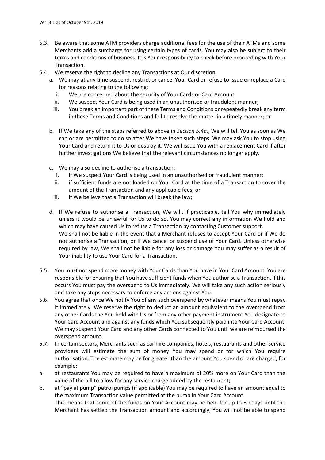- 5.3. Be aware that some ATM providers charge additional fees for the use of their ATMs and some Merchants add a surcharge for using certain types of cards. You may also be subject to their terms and conditions of business. It is Your responsibility to check before proceeding with Your Transaction.
- <span id="page-17-1"></span><span id="page-17-0"></span>5.4. We reserve the right to decline any Transactions at Our discretion.
	- a. We may at any time suspend, restrict or cancel Your Card or refuse to issue or replace a Card for reasons relating to the following:
		- i. We are concerned about the security of Your Cards or Card Account;
		- ii. We suspect Your Card is being used in an unauthorised or fraudulent manner;
		- iii. You break an important part of these Terms and Conditions or repeatedly break any term in these Terms and Conditions and fail to resolve the matter in a timely manner; or
	- b. If We take any of the steps referred to above in *Sectio[n 5.4](#page-17-0)[a](#page-17-1)*., We will tell You as soon as We can or are permitted to do so after We have taken such steps. We may ask You to stop using Your Card and return it to Us or destroy it. We will issue You with a replacement Card if after further investigations We believe that the relevant circumstances no longer apply.
	- c. We may also decline to authorise a transaction:
		- i. if We suspect Your Card is being used in an unauthorised or fraudulent manner;
		- ii. if sufficient funds are not loaded on Your Card at the time of a Transaction to cover the amount of the Transaction and any applicable fees; or
		- iii. if We believe that a Transaction will break the law;
	- d. If We refuse to authorise a Transaction, We will, if practicable, tell You why immediately unless it would be unlawful for Us to do so. You may correct any information We hold and which may have caused Us to refuse a Transaction by contacting Customer support. We shall not be liable in the event that a Merchant refuses to accept Your Card or if We do not authorise a Transaction, or if We cancel or suspend use of Your Card. Unless otherwise required by law, We shall not be liable for any loss or damage You may suffer as a result of Your inability to use Your Card for a Transaction.
- 5.5. You must not spend more money with Your Cards than You have in Your Card Account. You are responsible for ensuring that You have sufficient funds when You authorise a Transaction. If this occurs You must pay the overspend to Us immediately. We will take any such action seriously and take any steps necessary to enforce any actions against You.
- <span id="page-17-2"></span>5.6. You agree that once We notify You of any such overspend by whatever means You must repay it immediately. We reserve the right to deduct an amount equivalent to the overspend from any other Cards the You hold with Us or from any other payment instrument You designate to Your Card Account and against any funds which You subsequently paid into Your Card Account. We may suspend Your Card and any other Cards connected to You until we are reimbursed the overspend amount.
- 5.7. In certain sectors, Merchants such as car hire companies, hotels, restaurants and other service providers will estimate the sum of money You may spend or for which You require authorisation. The estimate may be for greater than the amount You spend or are charged, for example:
- a. at restaurants You may be required to have a maximum of 20% more on Your Card than the value of the bill to allow for any service charge added by the restaurant;
- b. at "pay at pump" petrol pumps (if applicable) You may be required to have an amount equal to the maximum Transaction value permitted at the pump in Your Card Account. This means that some of the funds on Your Account may be held for up to 30 days until the Merchant has settled the Transaction amount and accordingly, You will not be able to spend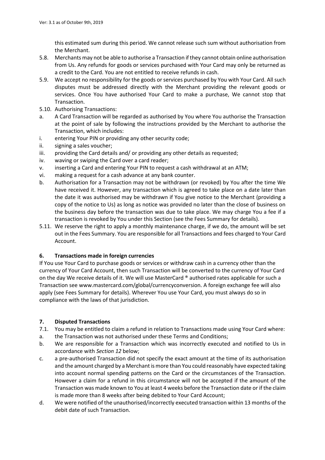this estimated sum during this period. We cannot release such sum without authorisation from the Merchant.

- 5.8. Merchants may not be able to authorise a Transaction if they cannot obtain online authorisation from Us. Any refunds for goods or services purchased with Your Card may only be returned as a credit to the Card. You are not entitled to receive refunds in cash.
- 5.9. We accept no responsibility for the goods or services purchased by You with Your Card. All such disputes must be addressed directly with the Merchant providing the relevant goods or services. Once You have authorised Your Card to make a purchase, We cannot stop that Transaction.
- 5.10. Authorising Transactions:
- a. A Card Transaction will be regarded as authorised by You where You authorise the Transaction at the point of sale by following the instructions provided by the Merchant to authorise the Transaction, which includes:
- i. entering Your PIN or providing any other security code;
- ii. signing a sales voucher;
- iii. providing the Card details and/ or providing any other details as requested;
- iv. waving or swiping the Card over a card reader;
- v. inserting a Card and entering Your PIN to request a cash withdrawal at an ATM;
- vi. making a request for a cash advance at any bank counter.
- b. Authorisation for a Transaction may not be withdrawn (or revoked) by You after the time We have received it. However, any transaction which is agreed to take place on a date later than the date it was authorised may be withdrawn if You give notice to the Merchant (providing a copy of the notice to Us) as long as notice was provided no later than the close of business on the business day before the transaction was due to take place. We may charge You a fee if a transaction is revoked by You under this Section (see the Fees Summary for details).
- 5.11. We reserve the right to apply a monthly maintenance charge, if we do, the amount will be set out in the Fees Summary. You are responsible for all Transactions and fees charged to Your Card Account.

# **6. Transactions made in foreign currencies**

If You use Your Card to purchase goods or services or withdraw cash in a currency other than the currency of Your Card Account, then such Transaction will be converted to the currency of Your Card on the day We receive details of it. We will use MasterCard ® authorised rates applicable for such a Transaction see www.mastercard.com/global/currencyconversion. A foreign exchange fee will also apply (see Fees Summary for details). Wherever You use Your Card, you must always do so in compliance with the laws of that jurisdiction.

# **7. Disputed Transactions**

- 7.1. You may be entitled to claim a refund in relation to Transactions made using Your Card where:
- a. the Transaction was not authorised under these Terms and Conditions;
- b. We are responsible for a Transaction which was incorrectly executed and notified to Us in accordance with *Section [12](#page-20-0)* below;
- c. a pre-authorised Transaction did not specify the exact amount at the time of its authorisation and the amount charged by a Merchant is more than You could reasonably have expected taking into account normal spending patterns on the Card or the circumstances of the Transaction. However a claim for a refund in this circumstance will not be accepted if the amount of the Transaction was made known to You at least 4 weeks before the Transaction date or if the claim is made more than 8 weeks after being debited to Your Card Account;
- d. We were notified of the unauthorised/incorrectly executed transaction within 13 months of the debit date of such Transaction.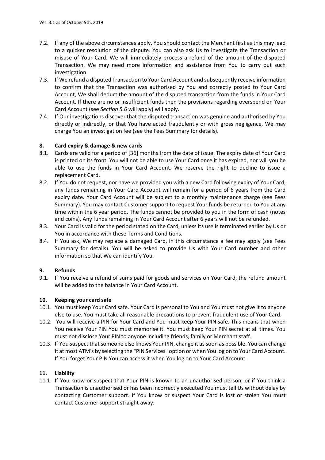- 7.2. If any of the above circumstances apply, You should contact the Merchant first as this may lead to a quicker resolution of the dispute. You can also ask Us to investigate the Transaction or misuse of Your Card. We will immediately process a refund of the amount of the disputed Transaction. We may need more information and assistance from You to carry out such investigation.
- 7.3. If We refund a disputed Transaction to Your Card Account and subsequently receive information to confirm that the Transaction was authorised by You and correctly posted to Your Card Account, We shall deduct the amount of the disputed transaction from the funds in Your Card Account. If there are no or insufficient funds then the provisions regarding overspend on Your Card Account (see *Sectio[n 5.6](#page-17-2)* will apply) will apply.
- 7.4. If Our investigations discover that the disputed transaction was genuine and authorised by You directly or indirectly, or that You have acted fraudulently or with gross negligence, We may charge You an investigation fee (see the Fees Summary for details).

# **8. Card expiry & damage & new cards**

- 8.1. Cards are valid for a period of [36] months from the date of issue. The expiry date of Your Card is printed on its front. You will not be able to use Your Card once it has expired, nor will you be able to use the funds in Your Card Account. We reserve the right to decline to issue a replacement Card.
- 8.2. If You do not request, nor have we provided you with a new Card following expiry of Your Card, any funds remaining in Your Card Account will remain for a period of 6 years from the Card expiry date. Your Card Account will be subject to a monthly maintenance charge (see Fees Summary). You may contact Customer support to request Your funds be returned to You at any time within the 6 year period. The funds cannot be provided to you in the form of cash (notes and coins). Any funds remaining in Your Card Account after 6 years will not be refunded.
- 8.3. Your Card is valid for the period stated on the Card, unless its use is terminated earlier by Us or You in accordance with these Terms and Conditions.
- 8.4. If You ask, We may replace a damaged Card, in this circumstance a fee may apply (see Fees Summary for details). You will be asked to provide Us with Your Card number and other information so that We can identify You.

# **9. Refunds**

9.1. If You receive a refund of sums paid for goods and services on Your Card, the refund amount will be added to the balance in Your Card Account.

# **10. Keeping your card safe**

- 10.1. You must keep Your Card safe. Your Card is personal to You and You must not give it to anyone else to use. You must take all reasonable precautions to prevent fraudulent use of Your Card.
- 10.2. You will receive a PIN for Your Card and You must keep Your PIN safe. This means that when You receive Your PIN You must memorise it. You must keep Your PIN secret at all times. You must not disclose Your PIN to anyone including friends, family or Merchant staff.
- 10.3. If You suspect that someone else knows Your PIN, change it as soon as possible. You can change it at most ATM's by selecting the "PIN Services" option or when You log on to Your Card Account. If You forget Your PIN You can access it when You log on to Your Card Account.

# **11. Liability**

11.1. If You know or suspect that Your PIN is known to an unauthorised person, or if You think a Transaction is unauthorised or has been incorrectly executed You must tell Us without delay by contacting Customer support. If You know or suspect Your Card is lost or stolen You must contact Customer support straight away.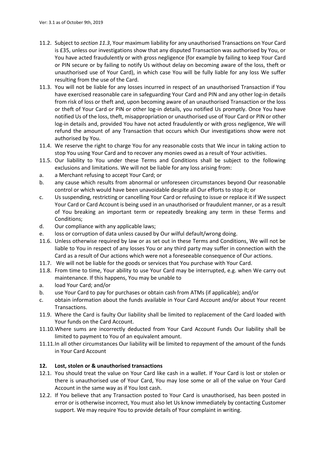- 11.2. Subject to *sectio[n 11.3](#page-20-1)*, Your maximum liability for any unauthorised Transactions on Your Card is £35, unless our investigations show that any disputed Transaction was authorised by You, or You have acted fraudulently or with gross negligence (for example by failing to keep Your Card or PIN secure or by failing to notify Us without delay on becoming aware of the loss, theft or unauthorised use of Your Card), in which case You will be fully liable for any loss We suffer resulting from the use of the Card.
- <span id="page-20-1"></span>11.3. You will not be liable for any losses incurred in respect of an unauthorised Transaction if You have exercised reasonable care in safeguarding Your Card and PIN and any other log-in details from risk of loss or theft and, upon becoming aware of an unauthorised Transaction or the loss or theft of Your Card or PIN or other log-in details, you notified Us promptly. Once You have notified Us of the loss, theft, misappropriation or unauthorised use of Your Card or PIN or other log-in details and, provided You have not acted fraudulently or with gross negligence, We will refund the amount of any Transaction that occurs which Our investigations show were not authorised by You.
- 11.4. We reserve the right to charge You for any reasonable costs that We incur in taking action to stop You using Your Card and to recover any monies owed as a result of Your activities.
- 11.5. Our liability to You under these Terms and Conditions shall be subject to the following exclusions and limitations. We will not be liable for any loss arising from:
- a. a Merchant refusing to accept Your Card; or
- b. any cause which results from abnormal or unforeseen circumstances beyond Our reasonable control or which would have been unavoidable despite all Our efforts to stop it; or
- c. Us suspending, restricting or cancelling Your Card or refusing to issue or replace it if We suspect Your Card or Card Account is being used in an unauthorised or fraudulent manner, or as a result of You breaking an important term or repeatedly breaking any term in these Terms and Conditions;
- d. Our compliance with any applicable laws;
- e. loss or corruption of data unless caused by Our wilful default/wrong doing.
- 11.6. Unless otherwise required by law or as set out in these Terms and Conditions, We will not be liable to You in respect of any losses You or any third party may suffer in connection with the Card as a result of Our actions which were not a foreseeable consequence of Our actions.
- 11.7. We will not be liable for the goods or services that You purchase with Your Card.
- 11.8. From time to time, Your ability to use Your Card may be interrupted, e.g. when We carry out maintenance. If this happens, You may be unable to
- a. load Your Card; and/or
- b. use Your Card to pay for purchases or obtain cash from ATMs (if applicable); and/or
- c. obtain information about the funds available in Your Card Account and/or about Your recent Transactions.
- 11.9. Where the Card is faulty Our liability shall be limited to replacement of the Card loaded with Your funds on the Card Account.
- 11.10.Where sums are incorrectly deducted from Your Card Account Funds Our liability shall be limited to payment to You of an equivalent amount.
- 11.11.In all other circumstances Our liability will be limited to repayment of the amount of the funds in Your Card Account

# <span id="page-20-0"></span>**12. Lost, stolen or & unauthorised transactions**

- 12.1. You should treat the value on Your Card like cash in a wallet. If Your Card is lost or stolen or there is unauthorised use of Your Card, You may lose some or all of the value on Your Card Account in the same way as if You lost cash.
- 12.2. If You believe that any Transaction posted to Your Card is unauthorised, has been posted in error or is otherwise incorrect, You must also let Us know immediately by contacting Customer support. We may require You to provide details of Your complaint in writing.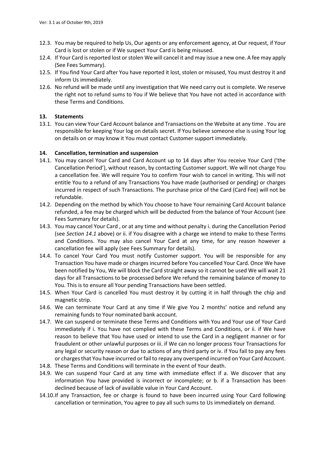- 12.3. You may be required to help Us, Our agents or any enforcement agency, at Our request, if Your Card is lost or stolen or if We suspect Your Card is being misused.
- 12.4. If Your Card is reported lost or stolen We will cancel it and may issue a new one. A fee may apply (See Fees Summary).
- 12.5. If You find Your Card after You have reported it lost, stolen or misused, You must destroy it and inform Us immediately.
- 12.6. No refund will be made until any investigation that We need carry out is complete. We reserve the right not to refund sums to You if We believe that You have not acted in accordance with these Terms and Conditions.

# **13. Statements**

13.1. You can view Your Card Account balance and Transactions on the Website at any time . You are responsible for keeping Your log on details secret. If You believe someone else is using Your log on details on or may know it You must contact Customer support immediately.

# **14. Cancellation, termination and suspension**

- <span id="page-21-0"></span>14.1. You may cancel Your Card and Card Account up to 14 days after You receive Your Card ('the Cancellation Period'), without reason, by contacting Customer support. We will not charge You a cancellation fee. We will require You to confirm Your wish to cancel in writing. This will not entitle You to a refund of any Transactions You have made (authorised or pending) or charges incurred in respect of such Transactions. The purchase price of the Card (Card Fee) will not be refundable.
- 14.2. Depending on the method by which You choose to have Your remaining Card Account balance refunded, a fee may be charged which will be deducted from the balance of Your Account (see Fees Summary for details).
- 14.3. You may cancel Your Card , or at any time and without penalty i. during the Cancellation Period (see *Section [14.1](#page-21-0)* above) or ii. if You disagree with a charge we intend to make to these Terms and Conditions. You may also cancel Your Card at any time, for any reason however a cancellation fee will apply (see Fees Summary for details).
- 14.4. To cancel Your Card You must notify Customer support. You will be responsible for any Transaction You have made or charges incurred before You cancelled Your Card. Once We have been notified by You, We will block the Card straight away so it cannot be used We will wait 21 days for all Transactions to be processed before We refund the remaining balance of money to You. This is to ensure all Your pending Transactions have been settled.
- 14.5. When Your Card is cancelled You must destroy it by cutting it in half through the chip and magnetic strip.
- 14.6. We can terminate Your Card at any time if We give You 2 months' notice and refund any remaining funds to Your nominated bank account.
- 14.7. We can suspend or terminate these Terms and Conditions with You and Your use of Your Card immediately if i. You have not complied with these Terms and Conditions, or ii. if We have reason to believe that You have used or intend to use the Card in a negligent manner or for fraudulent or other unlawful purposes or iii. if We can no longer process Your Transactions for any legal or security reason or due to actions of any third party or iv. if You fail to pay any fees or charges that You have incurred or fail to repay any overspend incurred on Your Card Account.
- 14.8. These Terms and Conditions will terminate in the event of Your death.
- 14.9. We can suspend Your Card at any time with immediate effect if a. We discover that any information You have provided is incorrect or incomplete; or b. if a Transaction has been declined because of lack of available value in Your Card Account.
- 14.10.If any Transaction, fee or charge is found to have been incurred using Your Card following cancellation or termination, You agree to pay all such sums to Us immediately on demand.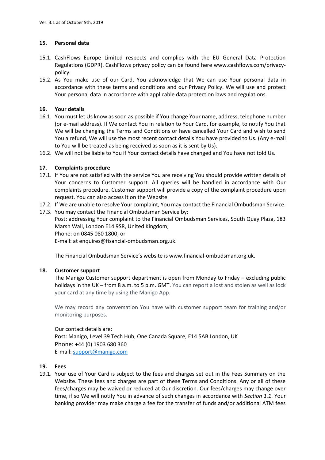# **15. Personal data**

- 15.1. CashFlows Europe Limited respects and complies with the EU General Data Protection Regulations (GDPR). CashFlows privacy policy can be found here www.cashflows.com/privacypolicy.
- 15.2. As You make use of our Card, You acknowledge that We can use Your personal data in accordance with these terms and conditions and our Privacy Policy. We will use and protect Your personal data in accordance with applicable data protection laws and regulations.

# **16. Your details**

- 16.1. You must let Us know as soon as possible if You change Your name, address, telephone number (or e-mail address). If We contact You in relation to Your Card, for example, to notify You that We will be changing the Terms and Conditions or have cancelled Your Card and wish to send You a refund, We will use the most recent contact details You have provided to Us. (Any e-mail to You will be treated as being received as soon as it is sent by Us).
- 16.2. We will not be liable to You if Your contact details have changed and You have not told Us.

# **17. Complaints procedure**

- 17.1. If You are not satisfied with the service You are receiving You should provide written details of Your concerns to Customer support. All queries will be handled in accordance with Our complaints procedure. Customer support will provide a copy of the complaint procedure upon request. You can also access it on the Website.
- 17.2. If We are unable to resolve Your complaint, You may contact the Financial Ombudsman Service.
- 17.3. You may contact the Financial Ombudsman Service by:

Post: addressing Your complaint to the Financial Ombudsman Services, South Quay Plaza, 183 Marsh Wall, London E14 9SR, United Kingdom;

Phone: on 0845 080 1800; or

E-mail: at enquires@fisancial-ombudsman.org.uk.

The Financial Ombudsman Service's website is www.financial-ombudsman.org.uk.

# **18. Customer support**

The Manigo Customer support department is open from Monday to Friday – excluding public holidays in the UK – from 8 a.m. to 5 p.m. GMT. You can report a lost and stolen as well as lock your card at any time by using the Manigo App.

We may record any conversation You have with customer support team for training and/or monitoring purposes.

Our contact details are: Post: Manigo, Level 39 Tech Hub, One Canada Square, E14 5AB London, UK Phone: +44 (0) 1903 680 360 E-mail: [support@manigo.com](mailto:support@manigo.com)

# **19. Fees**

19.1. Your use of Your Card is subject to the fees and charges set out in the Fees Summary on the Website. These fees and charges are part of these Terms and Conditions. Any or all of these fees/charges may be waived or reduced at Our discretion. Our fees/charges may change over time, if so We will notify You in advance of such changes in accordance with *Section [1.1](#page-15-1)*. Your banking provider may make charge a fee for the transfer of funds and/or additional ATM fees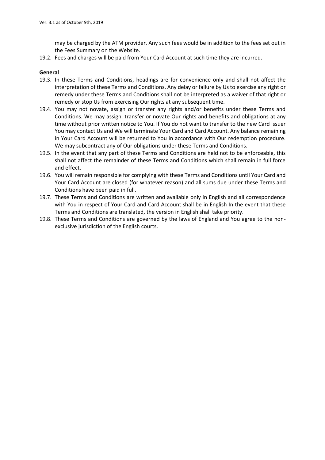may be charged by the ATM provider. Any such fees would be in addition to the fees set out in the Fees Summary on the Website.

19.2. Fees and charges will be paid from Your Card Account at such time they are incurred.

# **General**

- 19.3. In these Terms and Conditions, headings are for convenience only and shall not affect the interpretation of these Terms and Conditions. Any delay or failure by Us to exercise any right or remedy under these Terms and Conditions shall not be interpreted as a waiver of that right or remedy or stop Us from exercising Our rights at any subsequent time.
- 19.4. You may not novate, assign or transfer any rights and/or benefits under these Terms and Conditions. We may assign, transfer or novate Our rights and benefits and obligations at any time without prior written notice to You. If You do not want to transfer to the new Card Issuer You may contact Us and We will terminate Your Card and Card Account. Any balance remaining in Your Card Account will be returned to You in accordance with Our redemption procedure. We may subcontract any of Our obligations under these Terms and Conditions.
- 19.5. In the event that any part of these Terms and Conditions are held not to be enforceable, this shall not affect the remainder of these Terms and Conditions which shall remain in full force and effect.
- 19.6. You will remain responsible for complying with these Terms and Conditions until Your Card and Your Card Account are closed (for whatever reason) and all sums due under these Terms and Conditions have been paid in full.
- 19.7. These Terms and Conditions are written and available only in English and all correspondence with You in respect of Your Card and Card Account shall be in English In the event that these Terms and Conditions are translated, the version in English shall take priority.
- 19.8. These Terms and Conditions are governed by the laws of England and You agree to the nonexclusive jurisdiction of the English courts.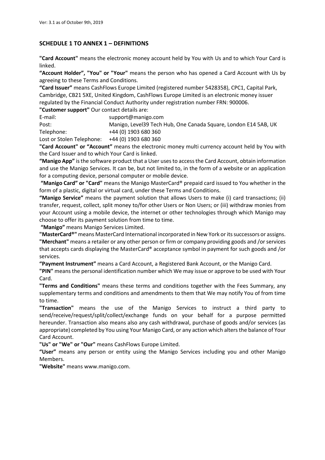# **SCHEDULE 1 TO ANNEX 1 – DEFINITIONS**

**"Card Account"** means the electronic money account held by You with Us and to which Your Card is linked.

**"Account Holder", "You" or "Your"** means the person who has opened a Card Account with Us by agreeing to these Terms and Conditions.

**"Card Issuer"** means CashFlows Europe Limited (registered number 5428358), CPC1, Capital Park, Cambridge, CB21 5XE, United Kingdom, CashFlows Europe Limited is an electronic money issuer regulated by the Financial Conduct Authority under registration number FRN: 900006.

**"Customer support"** Our contact details are:

| E-mail:    | support@manigo.com                                              |
|------------|-----------------------------------------------------------------|
| Post:      | Manigo, Level39 Tech Hub, One Canada Square, London E14 5AB, UK |
| Telephone: | +44 (0) 1903 680 360                                            |

Lost or Stolen Telephone: +44 (0) 1903 680 360

**"Card Account" or "Account"** means the electronic money multi currency account held by You with the Card Issuer and to which Your Card is linked.

**"Manigo App"** is the software product that a User uses to access the Card Account, obtain information and use the Manigo Services. It can be, but not limited to, in the form of a website or an application for a computing device, personal computer or mobile device.

**"Manigo Card" or "Card"** means the Manigo MasterCard® prepaid card issued to You whether in the form of a plastic, digital or virtual card, under these Terms and Conditions.

**"Manigo Service"** means the payment solution that allows Users to make (i) card transactions; (ii) transfer, request, collect, split money to/for other Users or Non Users; or (iii) withdraw monies from your Account using a mobile device, the internet or other technologies through which Manigo may choose to offer its payment solution from time to time.

**"Manigo"** means Manigo Services Limited.

**"MasterCard®"** means MasterCard International incorporated in New York or its successors or assigns. **"Merchant"** means a retailer or any other person or firm or company providing goods and /or services that accepts cards displaying the MasterCard® acceptance symbol in payment for such goods and /or services.

**"Payment Instrument"** means a Card Account, a Registered Bank Account, or the Manigo Card.

**"PIN"** means the personal identification number which We may issue or approve to be used with Your Card.

**"Terms and Conditions"** means these terms and conditions together with the Fees Summary, any supplementary terms and conditions and amendments to them that We may notify You of from time to time.

**"Transaction"** means the use of the Manigo Services to instruct a third party to send/receive/request/split/collect/exchange funds on your behalf for a purpose permitted hereunder. Transaction also means also any cash withdrawal, purchase of goods and/or services (as appropriate) completed by You using Your Manigo Card, or any action which alters the balance of Your Card Account.

**"Us" or "We" or "Our"** means CashFlows Europe Limited.

**"User"** means any person or entity using the Manigo Services including you and other Manigo Members.

**"Website"** means www.manigo.com.